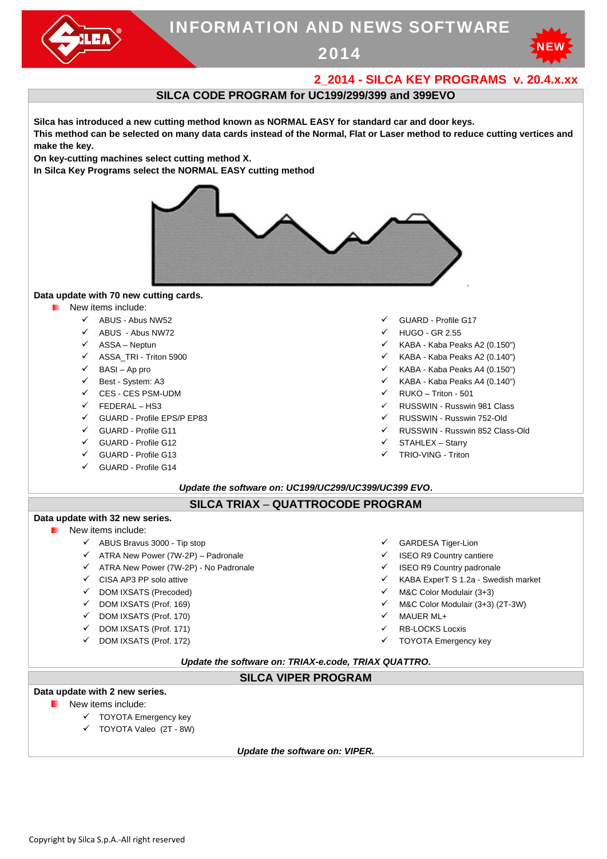

# INFORMATION AND NEWS SOFTWARE

2014



# **2\_2014 - SILCA KEY PROGRAMS v. 20.4.x.xx**

## **SILCA CODE PROGRAM for UC199/299/399 and 399EVO**

**Silca has introduced a new cutting method known as NORMAL EASY for standard car and door keys. This method can be selected on many data cards instead of the Normal, Flat or Laser method to reduce cutting vertices and make the key.** 

**On key-cutting machines select cutting method X.** 

**In Silca Key Programs select the NORMAL EASY cutting method** 



#### **Data update with 70 new cutting cards.**

- New items include:
	-
	- ABUS Abus NW72 HUGO GR 2.55
	-
	-
	-
	-
	- $\checkmark$  CES CES PSM-UDM  $\checkmark$  RUKO Triton 501
	-
	- GUARD Profile EPS/P EP83 **RUSSWIN** RUSSWIN Russwin 752-Old
	-
	- GUARD Profile G12 and State Control of STAHLEX Starry
	- $\checkmark$  GUARD Profile G13  $\checkmark$  TRIO-VING Triton
	- GUARD Profile G14
- $\checkmark$  ABUS Abus NW52  $\checkmark$  GUARD Profile G17
	-
- ASSA Neptun KABA Kaba Peaks A2 (0.150")
- ASSA\_TRI Triton 5900 KABA Kaba Peaks A2 (0.140")
- BASI Ap pro KABA Kaba Peaks A4 (0.150")
- Best System: A3 KABA Kaba Peaks A4 (0.140")
	-
- FEDERAL HS3 RUSSWIN Russwin 981 Class
	-
	- GUARD Profile G11 **RUSSWIN** Russwin 852 Class-Old
		-
		-

#### *Update the software on: UC199/UC299/UC399/UC399 EVO***.**

#### **SILCA TRIAX** – **QUATTROCODE PROGRAM**

# **Data update with 32 new series.**

- New items include:
	- ABUS Bravus 3000 Tip stop GARDESA Tiger-Lion
	- ATRA New Power (7W-2P) Padronale ISEO R9 Country cantiere
	- $\checkmark$  ATRA New Power (7W-2P) No Padronale  $\checkmark$  ISEO R9 Country padronale
	-
	-
	-
	- $\checkmark$  DOM IXSATS (Prof. 170)  $\checkmark$  MAUER ML+
	- $\checkmark$  DOM IXSATS (Prof. 171)  $\checkmark$  RB-LOCKS Locxis
	- DOM IXSATS (Prof. 172) TOYOTA Emergency key
- 
- 
- - $\checkmark$  CISA AP3 PP solo attive  $\checkmark$  CISA AP3 PP solo attive  $\checkmark$  KABA ExperT S 1.2a Swedish market
	- DOM IXSATS (Precoded) M&C Color Modulair (3+3)
	- $\checkmark$  DOM IXSATS (Prof. 169)  $\checkmark$  M&C Color Modulair (3+3) (2T-3W)
		-
		-
		-

#### *Update the software on: TRIAX-e.code, TRIAX QUATTRO***.**

## **SILCA VIPER PROGRAM**

## **Data update with 2 new series.**

- **New items include:** 
	- $\checkmark$  TOYOTA Emergency key
	- TOYOTA Valeo (2T 8W)

*Update the software on: VIPER.*